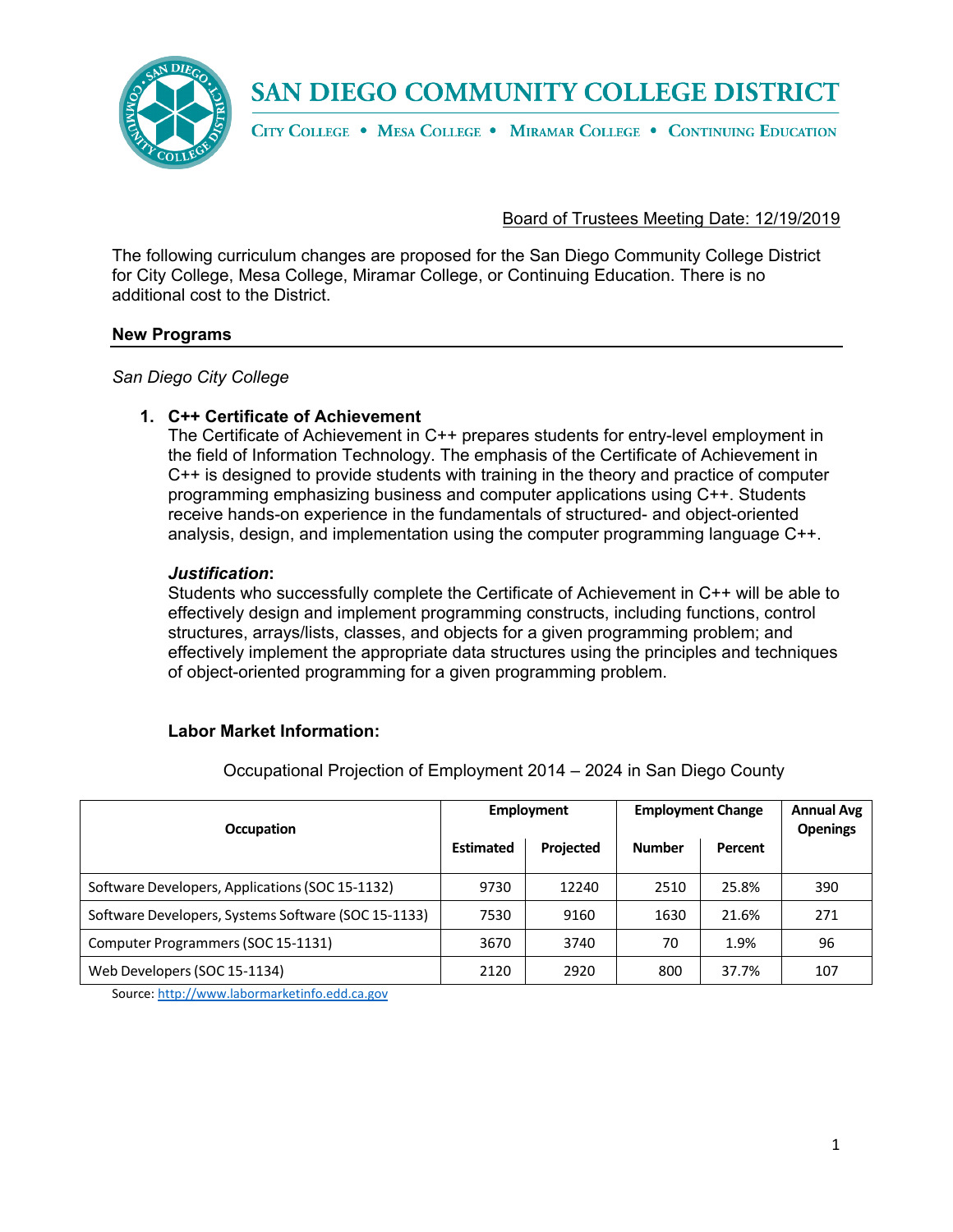

CITY COLLEGE . MESA COLLEGE . MIRAMAR COLLEGE . CONTINUING EDUCATION

#### Board of Trustees Meeting Date: 12/19/2019

The following curriculum changes are proposed for the San Diego Community College District for City College, Mesa College, Miramar College, or Continuing Education. There is no additional cost to the District.

#### **New Programs**

*San Diego City College*

#### **1. C++ Certificate of Achievement**

The Certificate of Achievement in C++ prepares students for entry-level employment in the field of Information Technology. The emphasis of the Certificate of Achievement in C++ is designed to provide students with training in the theory and practice of computer programming emphasizing business and computer applications using C++. Students receive hands-on experience in the fundamentals of structured- and object-oriented analysis, design, and implementation using the computer programming language C++.

#### *Justification***:**

Students who successfully complete the Certificate of Achievement in C++ will be able to effectively design and implement programming constructs, including functions, control structures, arrays/lists, classes, and objects for a given programming problem; and effectively implement the appropriate data structures using the principles and techniques of object-oriented programming for a given programming problem.

#### **Labor Market Information:**

| Occupation                                          | <b>Employment</b> |           | <b>Employment Change</b> |         | <b>Annual Avg</b><br><b>Openings</b> |
|-----------------------------------------------------|-------------------|-----------|--------------------------|---------|--------------------------------------|
|                                                     | <b>Estimated</b>  | Projected | <b>Number</b>            | Percent |                                      |
| Software Developers, Applications (SOC 15-1132)     | 9730              | 12240     | 2510                     | 25.8%   | 390                                  |
| Software Developers, Systems Software (SOC 15-1133) | 7530              | 9160      | 1630                     | 21.6%   | 271                                  |
| Computer Programmers (SOC 15-1131)                  | 3670              | 3740      | 70                       | 1.9%    | 96                                   |
| Web Developers (SOC 15-1134)                        | 2120              | 2920      | 800                      | 37.7%   | 107                                  |

Occupational Projection of Employment 2014 – 2024 in San Diego County

Source[: http://www.labormarketinfo.edd.ca.gov](http://www.labormarketinfo.edd.ca.gov/)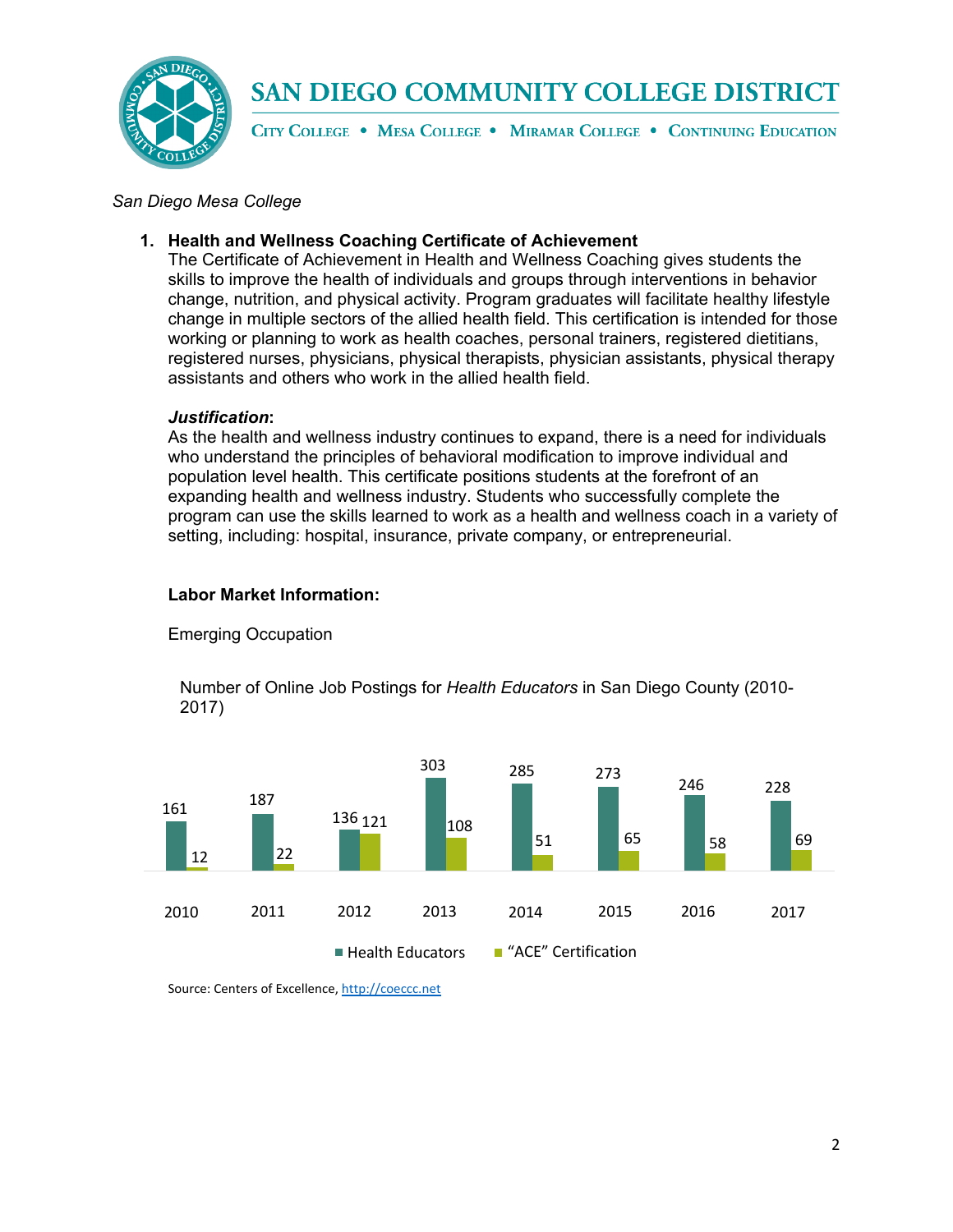

CITY COLLEGE . MESA COLLEGE . MIRAMAR COLLEGE . CONTINUING EDUCATION

#### *San Diego Mesa College*

#### **1. Health and Wellness Coaching Certificate of Achievement**

The Certificate of Achievement in Health and Wellness Coaching gives students the skills to improve the health of individuals and groups through interventions in behavior change, nutrition, and physical activity. Program graduates will facilitate healthy lifestyle change in multiple sectors of the allied health field. This certification is intended for those working or planning to work as health coaches, personal trainers, registered dietitians, registered nurses, physicians, physical therapists, physician assistants, physical therapy assistants and others who work in the allied health field.

#### *Justification***:**

As the health and wellness industry continues to expand, there is a need for individuals who understand the principles of behavioral modification to improve individual and population level health. This certificate positions students at the forefront of an expanding health and wellness industry. Students who successfully complete the program can use the skills learned to work as a health and wellness coach in a variety of setting, including: hospital, insurance, private company, or entrepreneurial.

#### **Labor Market Information:**



Emerging Occupation

Number of Online Job Postings for *Health Educators* in San Diego County (2010- 2017)

Source: Centers of Excellence[, http://coeccc.net](http://coeccc.net/)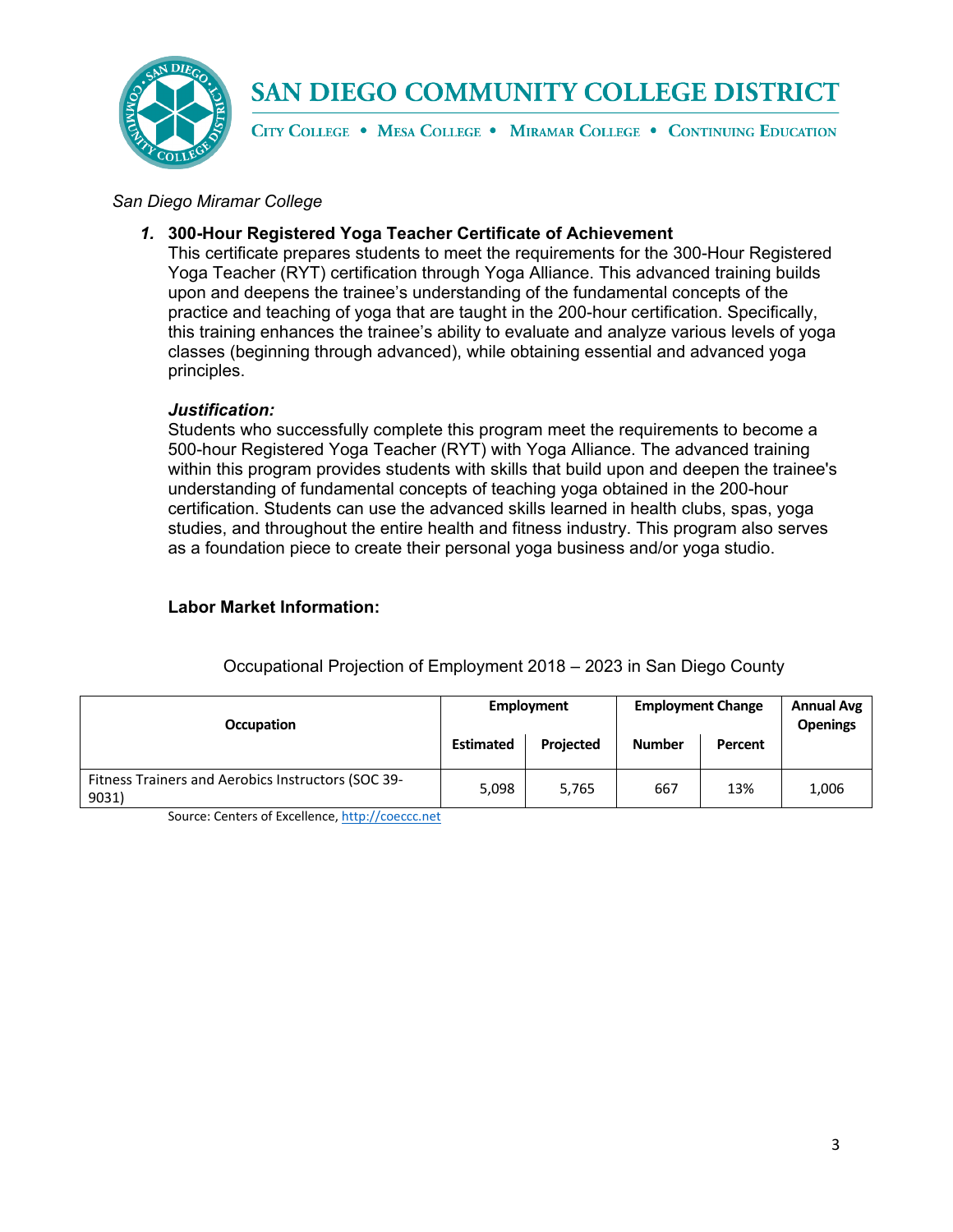

CITY COLLEGE . MESA COLLEGE . MIRAMAR COLLEGE . CONTINUING EDUCATION

#### *San Diego Miramar College*

#### *1.* **300-Hour Registered Yoga Teacher Certificate of Achievement**

This certificate prepares students to meet the requirements for the 300-Hour Registered Yoga Teacher (RYT) certification through Yoga Alliance. This advanced training builds upon and deepens the trainee's understanding of the fundamental concepts of the practice and teaching of yoga that are taught in the 200-hour certification. Specifically, this training enhances the trainee's ability to evaluate and analyze various levels of yoga classes (beginning through advanced), while obtaining essential and advanced yoga principles.

#### *Justification:*

Students who successfully complete this program meet the requirements to become a 500-hour Registered Yoga Teacher (RYT) with Yoga Alliance. The advanced training within this program provides students with skills that build upon and deepen the trainee's understanding of fundamental concepts of teaching yoga obtained in the 200-hour certification. Students can use the advanced skills learned in health clubs, spas, yoga studies, and throughout the entire health and fitness industry. This program also serves as a foundation piece to create their personal yoga business and/or yoga studio.

#### **Labor Market Information:**

| Occupation                                                  | <b>Estimated</b> | Employment<br>Projected | <b>Employment Change</b><br><b>Number</b> | Percent | <b>Annual Avg</b><br><b>Openings</b> |
|-------------------------------------------------------------|------------------|-------------------------|-------------------------------------------|---------|--------------------------------------|
| Fitness Trainers and Aerobics Instructors (SOC 39-<br>9031) | 5,098            | 5,765                   | 667                                       | 13%     | 1,006                                |

#### Occupational Projection of Employment 2018 – 2023 in San Diego County

Source: Centers of Excellence[, http://coeccc.net](http://coeccc.net/)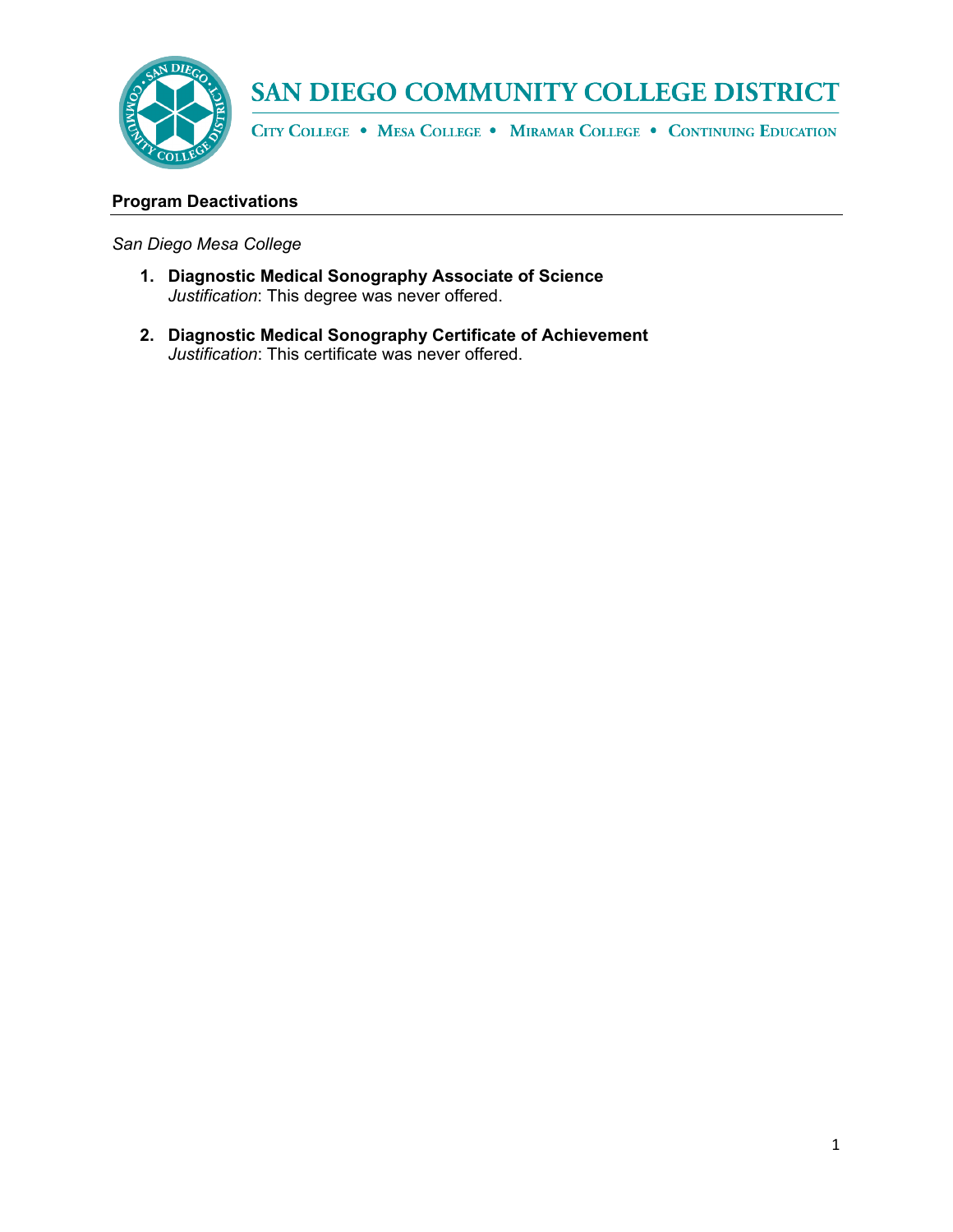

CITY COLLEGE . MESA COLLEGE . MIRAMAR COLLEGE . CONTINUING EDUCATION

### **Program Deactivations**

#### *San Diego Mesa College*

- **1. Diagnostic Medical Sonography Associate of Science** *Justification*: This degree was never offered.
- **2. Diagnostic Medical Sonography Certificate of Achievement** *Justification*: This certificate was never offered.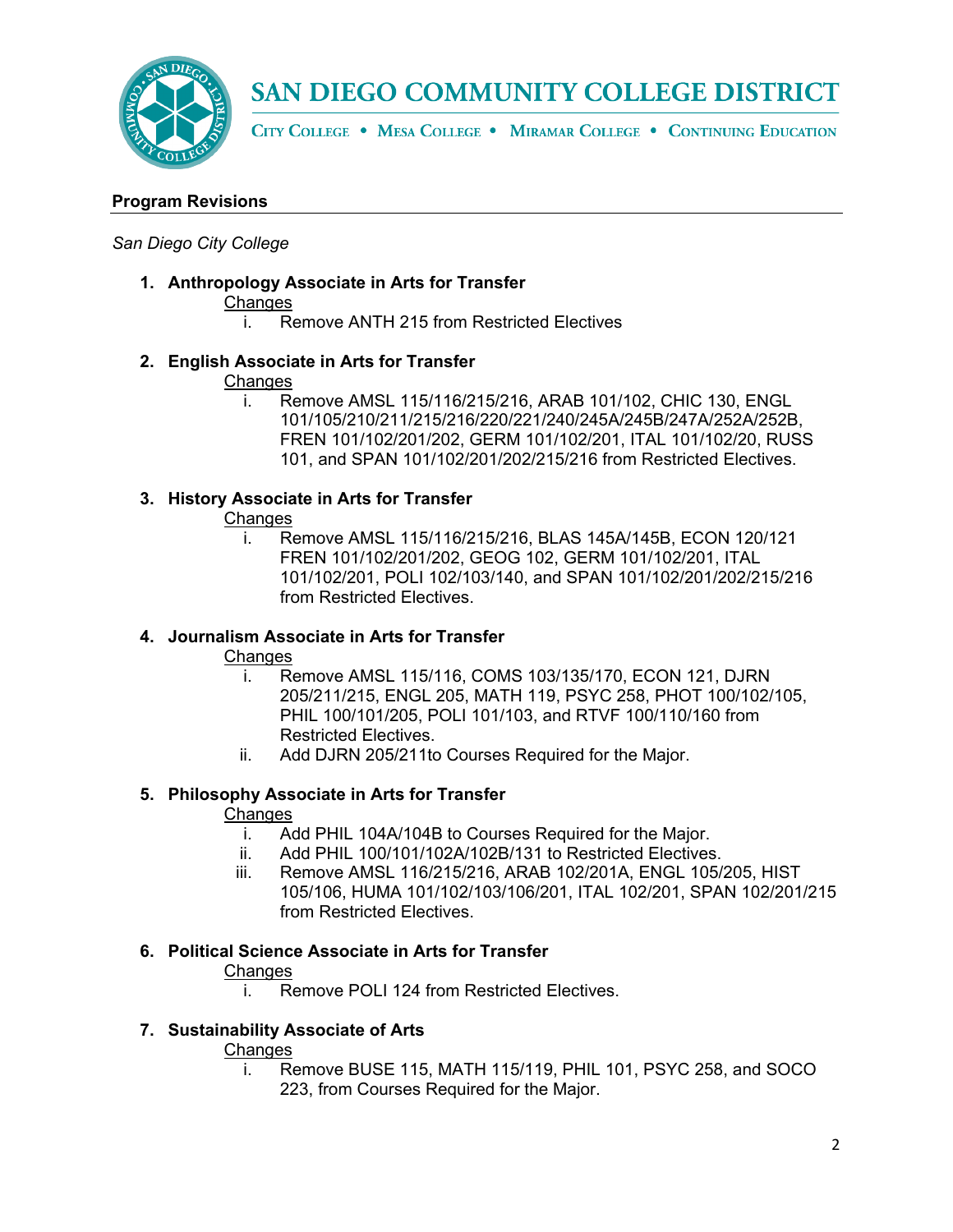

CITY COLLEGE . MESA COLLEGE . MIRAMAR COLLEGE . CONTINUING EDUCATION

#### **Program Revisions**

#### *San Diego City College*

**1. Anthropology Associate in Arts for Transfer**

#### **Changes**

- i. Remove ANTH 215 from Restricted Electives
- **2. English Associate in Arts for Transfer**

#### Changes

i. Remove AMSL 115/116/215/216, ARAB 101/102, CHIC 130, ENGL 101/105/210/211/215/216/220/221/240/245A/245B/247A/252A/252B, FREN 101/102/201/202, GERM 101/102/201, ITAL 101/102/20, RUSS 101, and SPAN 101/102/201/202/215/216 from Restricted Electives.

#### **3. History Associate in Arts for Transfer**

#### Changes

i. Remove AMSL 115/116/215/216, BLAS 145A/145B, ECON 120/121 FREN 101/102/201/202, GEOG 102, GERM 101/102/201, ITAL 101/102/201, POLI 102/103/140, and SPAN 101/102/201/202/215/216 from Restricted Electives.

#### **4. Journalism Associate in Arts for Transfer**

#### **Changes**

- i. Remove AMSL 115/116, COMS 103/135/170, ECON 121, DJRN 205/211/215, ENGL 205, MATH 119, PSYC 258, PHOT 100/102/105, PHIL 100/101/205, POLI 101/103, and RTVF 100/110/160 from Restricted Electives.
- ii. Add DJRN 205/211to Courses Required for the Major.

#### **5. Philosophy Associate in Arts for Transfer**

#### Changes

- i. Add PHIL 104A/104B to Courses Required for the Major.
- ii. Add PHIL 100/101/102A/102B/131 to Restricted Electives.
- iii. Remove AMSL 116/215/216, ARAB 102/201A, ENGL 105/205, HIST 105/106, HUMA 101/102/103/106/201, ITAL 102/201, SPAN 102/201/215 from Restricted Electives.

#### **6. Political Science Associate in Arts for Transfer**

#### **Changes**

i. Remove POLI 124 from Restricted Electives.

#### **7. Sustainability Associate of Arts**

#### **Changes**

i. Remove BUSE 115, MATH 115/119, PHIL 101, PSYC 258, and SOCO 223, from Courses Required for the Major.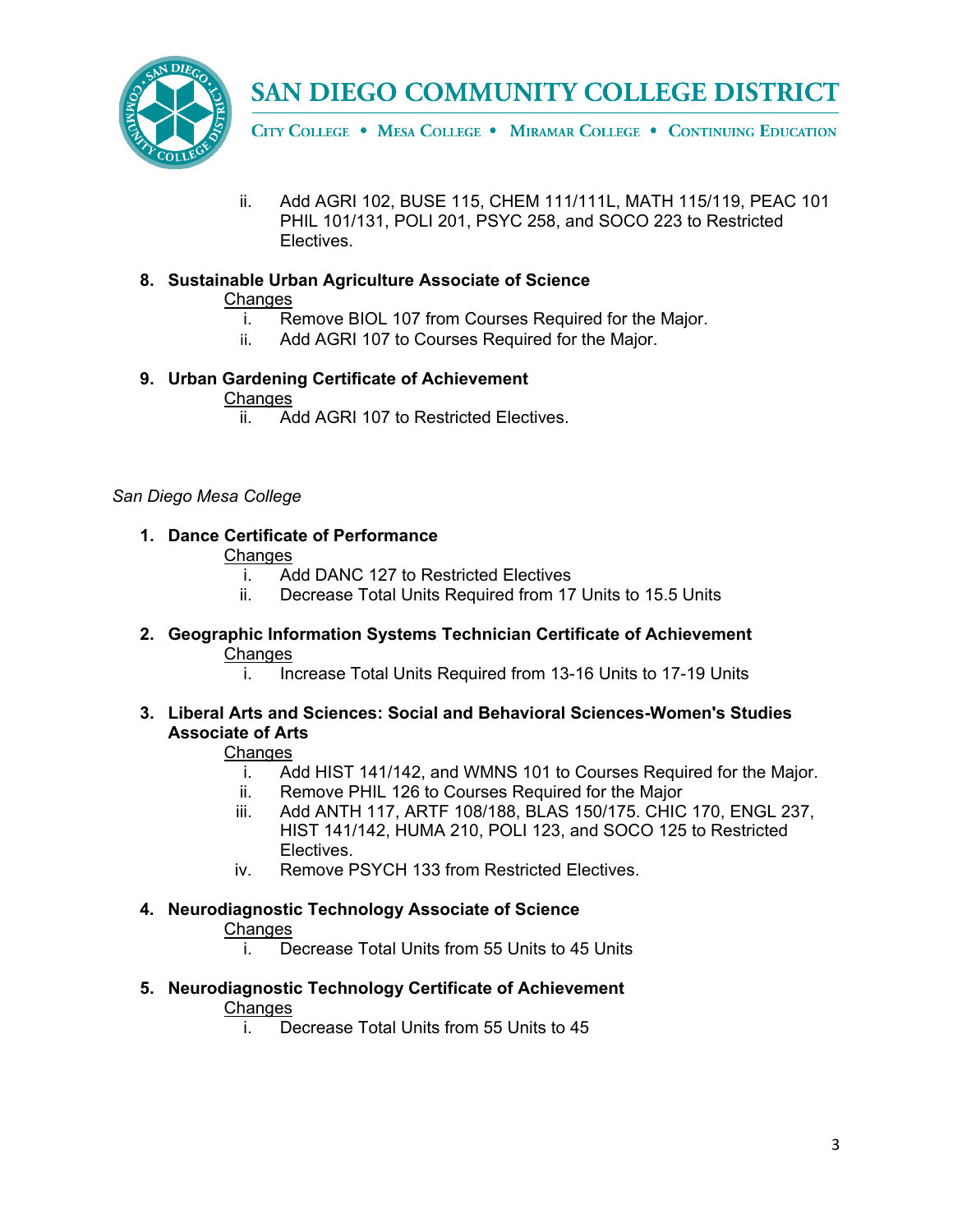

CITY COLLEGE . MESA COLLEGE . MIRAMAR COLLEGE . CONTINUING EDUCATION

ii. Add AGRI 102, BUSE 115, CHEM 111/111L, MATH 115/119, PEAC 101 PHIL 101/131, POLI 201, PSYC 258, and SOCO 223 to Restricted Electives.

## **8. Sustainable Urban Agriculture Associate of Science**

#### **Changes**

- i. Remove BIOL 107 from Courses Required for the Major.
- ii. Add AGRI 107 to Courses Required for the Major.

### **9. Urban Gardening Certificate of Achievement**

#### **Changes**

ii. Add AGRI 107 to Restricted Electives.

#### *San Diego Mesa College*

### **1. Dance Certificate of Performance**

#### **Changes**

- i. Add DANC 127 to Restricted Electives
- ii. Decrease Total Units Required from 17 Units to 15.5 Units
- **2. Geographic Information Systems Technician Certificate of Achievement Changes**

i. Increase Total Units Required from 13-16 Units to 17-19 Units

**3. Liberal Arts and Sciences: Social and Behavioral Sciences-Women's Studies Associate of Arts**

### **Changes**

- i. Add HIST 141/142, and WMNS 101 to Courses Required for the Major.
- ii. Remove PHIL 126 to Courses Required for the Major
- iii. Add ANTH 117, ARTF 108/188, BLAS 150/175. CHIC 170, ENGL 237, HIST 141/142, HUMA 210, POLI 123, and SOCO 125 to Restricted Electives.
- iv. Remove PSYCH 133 from Restricted Electives.

#### **4. Neurodiagnostic Technology Associate of Science** Changes

i. Decrease Total Units from 55 Units to 45 Units

#### **5. Neurodiagnostic Technology Certificate of Achievement Changes**

i. Decrease Total Units from 55 Units to 45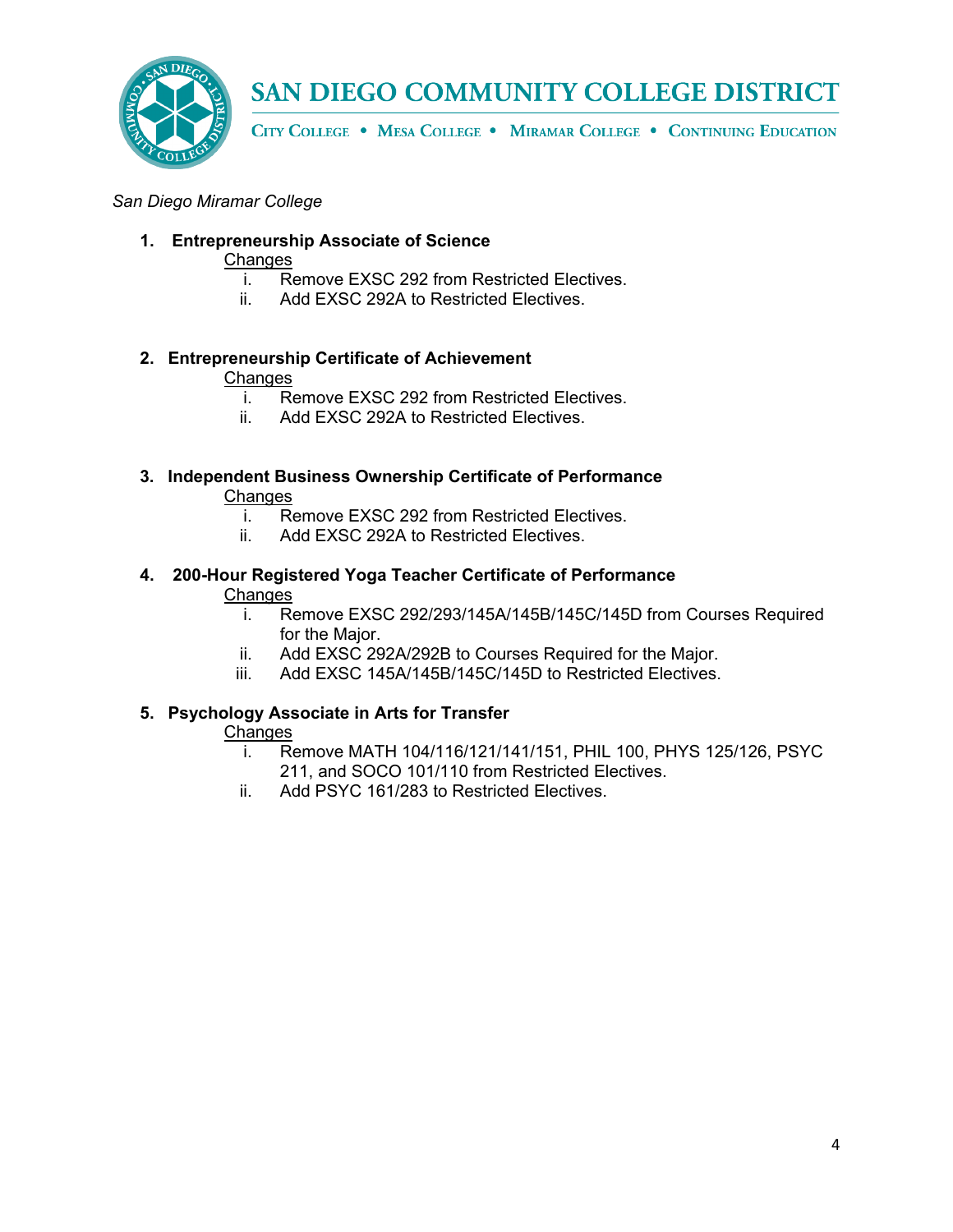

CITY COLLEGE . MESA COLLEGE . MIRAMAR COLLEGE . CONTINUING EDUCATION

#### *San Diego Miramar College*

#### **1. Entrepreneurship Associate of Science**

#### **Changes**

- i. Remove EXSC 292 from Restricted Electives.<br>ii. Add EXSC 292A to Restricted Electives.
- Add EXSC 292A to Restricted Electives.

## **2. Entrepreneurship Certificate of Achievement**

#### **Changes**

- i. Remove EXSC 292 from Restricted Electives.
- ii. Add EXSC 292A to Restricted Electives.

## **3. Independent Business Ownership Certificate of Performance** Changes<br>i. R

- Remove EXSC 292 from Restricted Electives.
- ii. Add EXSC 292A to Restricted Electives.

#### **4. 200-Hour Registered Yoga Teacher Certificate of Performance Changes**

- i. Remove EXSC 292/293/145A/145B/145C/145D from Courses Required for the Major.
- ii. Add EXSC 292A/292B to Courses Required for the Major.
- iii. Add EXSC 145A/145B/145C/145D to Restricted Electives.

#### **5. Psychology Associate in Arts for Transfer**

#### Changes

- i. Remove MATH 104/116/121/141/151, PHIL 100, PHYS 125/126, PSYC 211, and SOCO 101/110 from Restricted Electives.
- ii. Add PSYC 161/283 to Restricted Electives.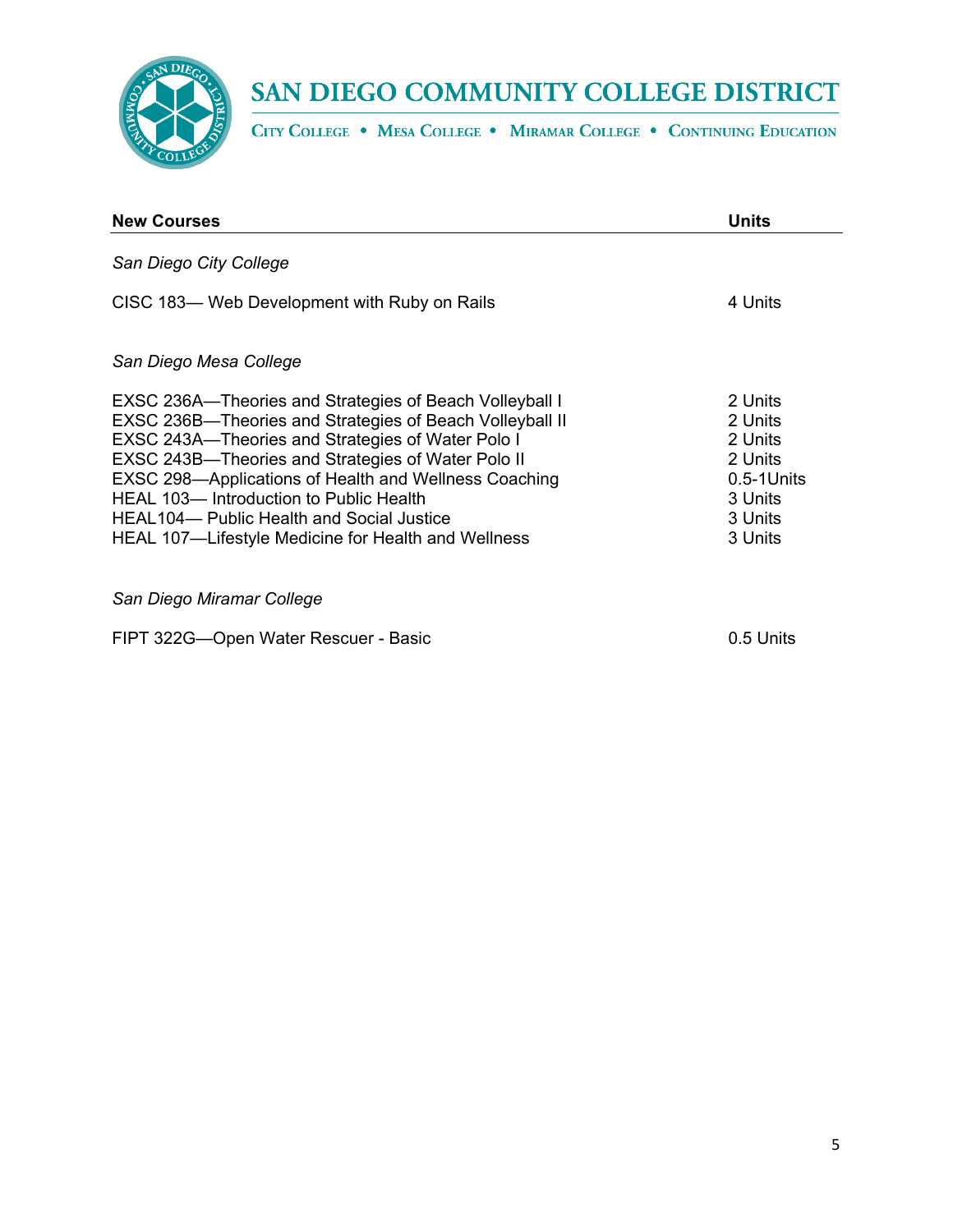

CITY COLLEGE . MESA COLLEGE . MIRAMAR COLLEGE . CONTINUING EDUCATION

| <b>New Courses</b>                                                                                                                                                                                                                                                                                                                                                                                                                                          | <b>Units</b>                                                                                 |
|-------------------------------------------------------------------------------------------------------------------------------------------------------------------------------------------------------------------------------------------------------------------------------------------------------------------------------------------------------------------------------------------------------------------------------------------------------------|----------------------------------------------------------------------------------------------|
| San Diego City College                                                                                                                                                                                                                                                                                                                                                                                                                                      |                                                                                              |
| CISC 183- Web Development with Ruby on Rails                                                                                                                                                                                                                                                                                                                                                                                                                | 4 Units                                                                                      |
| San Diego Mesa College                                                                                                                                                                                                                                                                                                                                                                                                                                      |                                                                                              |
| <b>EXSC 236A—Theories and Strategies of Beach Volleyball I</b><br><b>EXSC 236B-Theories and Strategies of Beach Volleyball II</b><br>EXSC 243A-Theories and Strategies of Water Polo I<br>EXSC 243B-Theories and Strategies of Water Polo II<br>EXSC 298-Applications of Health and Wellness Coaching<br>HEAL 103- Introduction to Public Health<br><b>HEAL104- Public Health and Social Justice</b><br>HEAL 107—Lifestyle Medicine for Health and Wellness | 2 Units<br>2 Units<br>2 Units<br>2 Units<br>$0.5 - 1$ Units<br>3 Units<br>3 Units<br>3 Units |
| San Diego Miramar College                                                                                                                                                                                                                                                                                                                                                                                                                                   |                                                                                              |
| FIPT 322G-Open Water Rescuer - Basic                                                                                                                                                                                                                                                                                                                                                                                                                        | 0.5 Units                                                                                    |